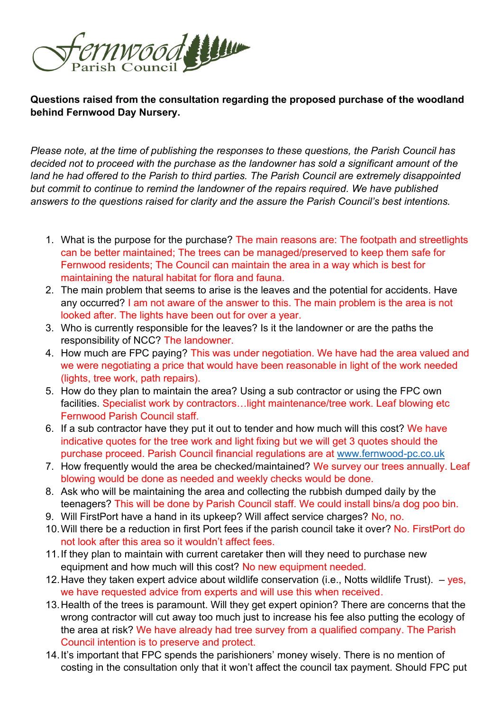

**Questions raised from the consultation regarding the proposed purchase of the woodland behind Fernwood Day Nursery.**

*Please note, at the time of publishing the responses to these questions, the Parish Council has decided not to proceed with the purchase as the landowner has sold a significant amount of the land he had offered to the Parish to third parties. The Parish Council are extremely disappointed but commit to continue to remind the landowner of the repairs required. We have published answers to the questions raised for clarity and the assure the Parish Council's best intentions.* 

- 1. What is the purpose for the purchase? The main reasons are: The footpath and streetlights can be better maintained; The trees can be managed/preserved to keep them safe for Fernwood residents; The Council can maintain the area in a way which is best for maintaining the natural habitat for flora and fauna.
- 2. The main problem that seems to arise is the leaves and the potential for accidents. Have any occurred? I am not aware of the answer to this. The main problem is the area is not looked after. The lights have been out for over a year.
- 3. Who is currently responsible for the leaves? Is it the landowner or are the paths the responsibility of NCC? The landowner.
- 4. How much are FPC paying? This was under negotiation. We have had the area valued and we were negotiating a price that would have been reasonable in light of the work needed (lights, tree work, path repairs).
- 5. How do they plan to maintain the area? Using a sub contractor or using the FPC own facilities. Specialist work by contractors...light maintenance/tree work. Leaf blowing etc Fernwood Parish Council staff.
- 6. If a sub contractor have they put it out to tender and how much will this cost? We have indicative quotes for the tree work and light fixing but we will get 3 quotes should the purchase proceed. Parish Council financial regulations are at [www.fernwood-pc.co.uk](http://www.fernwood-pc.co.uk/)
- 7. How frequently would the area be checked/maintained? We survey our trees annually. Leaf blowing would be done as needed and weekly checks would be done.
- 8. Ask who will be maintaining the area and collecting the rubbish dumped daily by the teenagers? This will be done by Parish Council staff. We could install bins/a dog poo bin.
- 9. Will FirstPort have a hand in its upkeep? Will affect service charges? No, no.
- 10.Will there be a reduction in first Port fees if the parish council take it over? No. FirstPort do not look after this area so it wouldn't affect fees.
- 11.If they plan to maintain with current caretaker then will they need to purchase new equipment and how much will this cost? No new equipment needed.
- 12. Have they taken expert advice about wildlife conservation (i.e., Notts wildlife Trust).  $-$  yes, we have requested advice from experts and will use this when received.
- 13.Health of the trees is paramount. Will they get expert opinion? There are concerns that the wrong contractor will cut away too much just to increase his fee also putting the ecology of the area at risk? We have already had tree survey from a qualified company. The Parish Council intention is to preserve and protect.
- 14.It's important that FPC spends the parishioners' money wisely. There is no mention of costing in the consultation only that it won't affect the council tax payment. Should FPC put